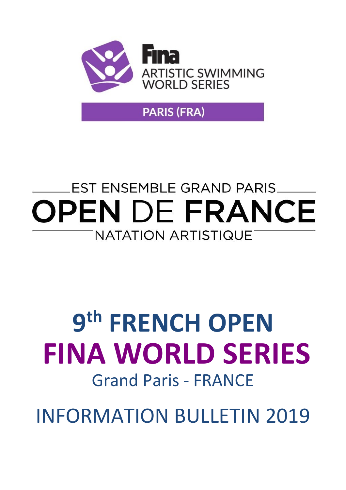

### **PARIS (FRA)**

## EST ENSEMBLE GRAND PARIS OPEN DE FRANCE **NATATION ARTISTIQUE**

# 9th FRENCH OPEN **FINA WORLD SERIES Grand Paris - FRANCE**

**INFORMATION BULLETIN 2019**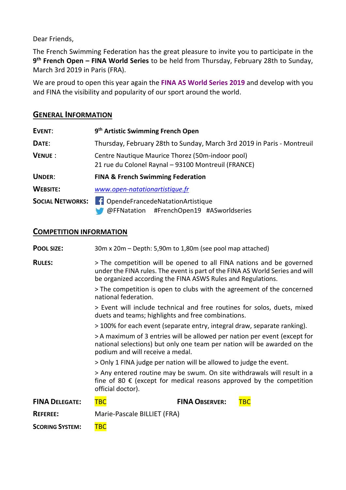Dear Friends,

The French Swimming Federation has the great pleasure to invite you to participate in the **9 th French Open – FINA World Series** to be held from Thursday, February 28th to Sunday, March 3rd 2019 in Paris (FRA).

We are proud to open this year again the **FINA AS World Series 2019** and develop with you and FINA the visibility and popularity of our sport around the world.

#### **GENERAL INFORMATION**

| EVENT:                  | 9 <sup>th</sup> Artistic Swimming French Open                                                           |  |  |
|-------------------------|---------------------------------------------------------------------------------------------------------|--|--|
| DATE:                   | Thursday, February 28th to Sunday, March 3rd 2019 in Paris - Montreuil                                  |  |  |
| <b>VENUE:</b>           | Centre Nautique Maurice Thorez (50m-indoor pool)<br>21 rue du Colonel Raynal - 93100 Montreuil (FRANCE) |  |  |
| <b>UNDER:</b>           | <b>FINA &amp; French Swimming Federation</b>                                                            |  |  |
| <b>WEBSITE:</b>         | www.open-natationartistique.fr                                                                          |  |  |
| <b>SOCIAL NETWORKS:</b> | <b>f</b> OpendeFrancedeNatationArtistique<br>@FFNatation #FrenchOpen19 #ASworldseries                   |  |  |

#### **COMPETITION INFORMATION**

| <b>POOL SIZE:</b>                                                       | 30m x 20m – Depth: 5,90m to 1,80m (see pool map attached)                                                                                                                                                           |            |  |
|-------------------------------------------------------------------------|---------------------------------------------------------------------------------------------------------------------------------------------------------------------------------------------------------------------|------------|--|
| <b>RULES:</b>                                                           | > The competition will be opened to all FINA nations and be governed<br>under the FINA rules. The event is part of the FINA AS World Series and will<br>be organized according the FINA ASWS Rules and Regulations. |            |  |
|                                                                         | > The competition is open to clubs with the agreement of the concerned<br>national federation.                                                                                                                      |            |  |
|                                                                         | > Event will include technical and free routines for solos, duets, mixed<br>duets and teams; highlights and free combinations.                                                                                      |            |  |
| >100% for each event (separate entry, integral draw, separate ranking). |                                                                                                                                                                                                                     |            |  |
|                                                                         | >A maximum of 3 entries will be allowed per nation per event (except for<br>national selections) but only one team per nation will be awarded on the<br>podium and will receive a medal.                            |            |  |
| > Only 1 FINA judge per nation will be allowed to judge the event.      |                                                                                                                                                                                                                     |            |  |
|                                                                         | > Any entered routine may be swum. On site withdrawals will result in a<br>fine of 80 $\epsilon$ (except for medical reasons approved by the competition<br>official doctor).                                       |            |  |
| <b>FINA DELEGATE:</b>                                                   | <b>FINA OBSERVER:</b><br><b>TBC</b>                                                                                                                                                                                 | <u>TBC</u> |  |
| <b>REFEREE:</b>                                                         | Marie-Pascale BILLIET (FRA)                                                                                                                                                                                         |            |  |
| <b>SCORING SYSTEM:</b>                                                  | <b>TBC</b>                                                                                                                                                                                                          |            |  |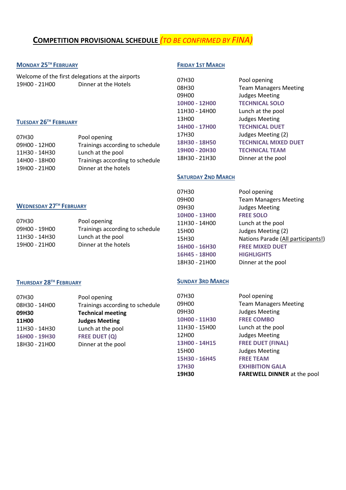#### **COMPETITION PROVISIONAL SCHEDULE** *(TO BE CONFIRMED BY FINA)*

#### **MONDAY 25 TH FEBRUARY**

Welcome of the first delegations at the airports<br>19H00 - 21H00 Dinner at the Hotels Dinner at the Hotels

#### **TUESDAY 26 TH FEBRUARY**

| 07H30         | Pool opening                    |
|---------------|---------------------------------|
| 09H00 - 12H00 | Trainings according to schedule |
| 11H30 - 14H30 | Lunch at the pool               |
| 14H00 - 18H00 | Trainings according to schedule |
| 19H00 - 21H00 | Dinner at the hotels            |
|               |                                 |

#### **FRIDAY 1ST MARCH**

| 07H30         | Pool opening                 |
|---------------|------------------------------|
| 08H30         | <b>Team Managers Meeting</b> |
| 09H00         | <b>Judges Meeting</b>        |
| 10H00 - 12H00 | <b>TECHNICAL SOLO</b>        |
| 11H30 - 14H00 | Lunch at the pool            |
| 13H00         | <b>Judges Meeting</b>        |
| 14H00 - 17H00 | <b>TECHNICAL DUET</b>        |
| 17H30         | Judges Meeting (2)           |
| 18H30 - 18H50 | <b>TECHNICAL MIXED DUET</b>  |
| 19H00 - 20H30 | <b>TECHNICAL TEAM</b>        |
| 18H30 - 21H30 | Dinner at the pool           |
|               |                              |

#### **SATURDAY 2ND MARCH**

|                                |                                           | 07H30         | Pool opening                       |
|--------------------------------|-------------------------------------------|---------------|------------------------------------|
|                                |                                           | 09H00         | <b>Team Managers Meeting</b>       |
| <b>WEDNESDAY 27TH FEBRUARY</b> |                                           | 09H30         | <b>Judges Meeting</b>              |
|                                |                                           | 10H00 - 13H00 | <b>FREE SOLO</b>                   |
| 07H30                          | Pool opening                              | 11H30 - 14H00 | Lunch at the pool                  |
| 09Н00 - 19Н00                  | Trainings according to schedule           | 15H00         | Judges Meeting (2)                 |
| 11H30 - 14H30                  | Lunch at the pool<br>Dinner at the hotels | 15H30         | Nations Parade (All participants!) |
| 19H00 - 21H00                  |                                           | 16H00 - 16H30 | <b>FREE MIXED DUET</b>             |
|                                |                                           | 16H45 - 18H00 | <b>HIGHLIGHTS</b>                  |
|                                |                                           | 18H30 - 21H00 | Dinner at the pool                 |

#### **THURSDAY 28 TH FEBRUARY**

| 07H30         | Pool opening                    |
|---------------|---------------------------------|
| 08H30 - 14H00 | Trainings according to schedule |
| 09H30         | <b>Technical meeting</b>        |
| 11H00         | <b>Judges Meeting</b>           |
| 11H30 - 14H30 | Lunch at the pool               |
| 16H00 - 19H30 | <b>FREE DUET (Q)</b>            |
| 18H30 - 21H00 | Dinner at the pool              |
|               |                                 |

#### **SUNDAY 3RD MARCH**

| 07H30         | Pool opening                       |
|---------------|------------------------------------|
| 09H00         | <b>Team Managers Meeting</b>       |
| 09H30         | <b>Judges Meeting</b>              |
| 10H00 - 11H30 | <b>FREE COMBO</b>                  |
| 11H30 - 15H00 | Lunch at the pool                  |
| 12H00         | <b>Judges Meeting</b>              |
| 13H00 - 14H15 | <b>FREE DUET (FINAL)</b>           |
| 15H00         | <b>Judges Meeting</b>              |
| 15H30 - 16H45 | <b>FREE TEAM</b>                   |
| 17H30         | <b>EXHIBITION GALA</b>             |
| 19H30         | <b>FAREWELL DINNER at the pool</b> |
|               |                                    |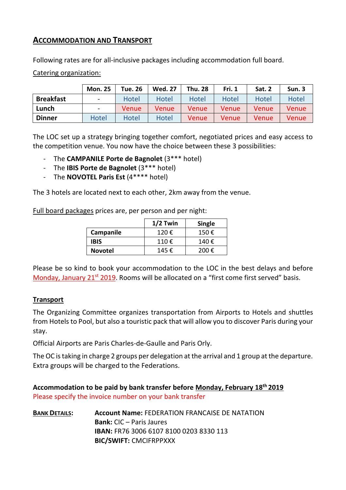#### **ACCOMMODATION AND TRANSPORT**

Following rates are for all-inclusive packages including accommodation full board.

Catering organization:

|                  | <b>Mon. 25</b>           | <b>Tue. 26</b> | <b>Wed. 27</b> | <b>Thu. 28</b> | Fri. 1 | Sat. 2       | Sun. 3       |
|------------------|--------------------------|----------------|----------------|----------------|--------|--------------|--------------|
| <b>Breakfast</b> | $\overline{\phantom{0}}$ | Hotel          | Hotel          | <b>Hotel</b>   | Hotel  | <b>Hotel</b> | <b>Hotel</b> |
| Lunch            | $\overline{\phantom{0}}$ | Venue          | Venue          | Venue          | Venue  | Venue        | Venue        |
| <b>Dinner</b>    | <b>Hotel</b>             | <b>Hotel</b>   | Hotel          | Venue          | Venue  | Venue        | Venue        |

The LOC set up a strategy bringing together comfort, negotiated prices and easy access to the competition venue. You now have the choice between these 3 possibilities:

- The **CAMPANILE Porte de Bagnolet** (3\*\*\* hotel)
- The **IBIS Porte de Bagnolet** (3\*\*\* hotel)
- The **NOVOTEL Paris Est** (4\*\*\*\* hotel)

The 3 hotels are located next to each other, 2km away from the venue.

Full board packages prices are, per person and per night:

|                | $1/2$ Twin | <b>Single</b>  |
|----------------|------------|----------------|
| Campanile      | 120€       | 150€           |
| <b>IBIS</b>    | 110€       | 140€           |
| <b>Novotel</b> | 145€       | 200 $\epsilon$ |

Please be so kind to book your accommodation to the LOC in the best delays and before Monday, January 21<sup>st</sup> 2019</u>. Rooms will be allocated on a "first come first served" basis.

#### **Transport**

The Organizing Committee organizes transportation from Airports to Hotels and shuttles from Hotels to Pool, but also a touristic pack that will allow you to discover Paris during your stay.

Official Airports are Paris Charles-de-Gaulle and Paris Orly.

The OC is taking in charge 2 groups per delegation at the arrival and 1 group at the departure. Extra groups will be charged to the Federations.

**Accommodation to be paid by bank transfer before Monday, February 18 th 2019** Please specify the invoice number on your bank transfer

**BANK DETAILS: Account Name:** FEDERATION FRANCAISE DE NATATION **Bank:** CIC – Paris Jaures **IBAN:** FR76 3006 6107 8100 0203 8330 113 **BIC/SWIFT:** CMCIFRPPXXX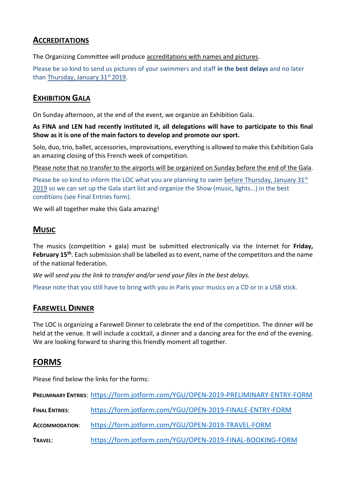#### **ACCREDITATIONS**

The Organizing Committee will produce accreditations with names and pictures.

Please be so kind to send us pictures of your swimmers and staff **in the best delays** and no later than Thursday, January 31<sup>st</sup> 2019.

#### **EXHIBITION GALA**

On Sunday afternoon, at the end of the event, we organize an Exhibition Gala.

**As FINA and LEN had recently instituted it, all delegations will have to participate to this final Show as it is one of the main factors to develop and promote our sport.** 

Solo, duo, trio, ballet, accessories, improvisations, everything is allowed to make this Exhibition Gala an amazing closing of this French week of competition.

Please note that no transfer to the airports will be organized on Sunday before the end of the Gala.

Please be so kind to inform the LOC what you are planning to swim before Thursday, January  $31<sup>st</sup>$ 2019 so we can set up the Gala start list and organize the Show (music, lights…) in the best conditions (see Final Entries form).

We will all together make this Gala amazing!

#### **MUSIC**

The musics (competition + gala) must be submitted electronically via the Internet for **Friday, February 15th** . Each submission shall be labelled as to event, name of the competitors and the name of the national federation.

*We will send you the link to transfer and/or send your files in the best delays.*

Please note that you still have to bring with you in Paris your musics on a CD or in a USB stick.

#### **FAREWELL DINNER**

The LOC is organizing a Farewell Dinner to celebrate the end of the competition. The dinner will be held at the venue. It will include a cocktail, a dinner and a dancing area for the end of the evening. We are looking forward to sharing this friendly moment all together.

#### **FORMS**

Please find below the links for the forms:

|                       | PRELIMINARY ENTRIES: https://form.jotform.com/YGU/OPEN-2019-PRELIMINARY-ENTRY-FORM |
|-----------------------|------------------------------------------------------------------------------------|
| <b>FINAL ENTRIES:</b> | https://form.jotform.com/YGU/OPEN-2019-FINALE-ENTRY-FORM                           |
| <b>ACCOMMODATION:</b> | https://form.jotform.com/YGU/OPEN-2019-TRAVEL-FORM                                 |
| TRAVEL:               | https://form.jotform.com/YGU/OPEN-2019-FINAL-BOOKING-FORM                          |